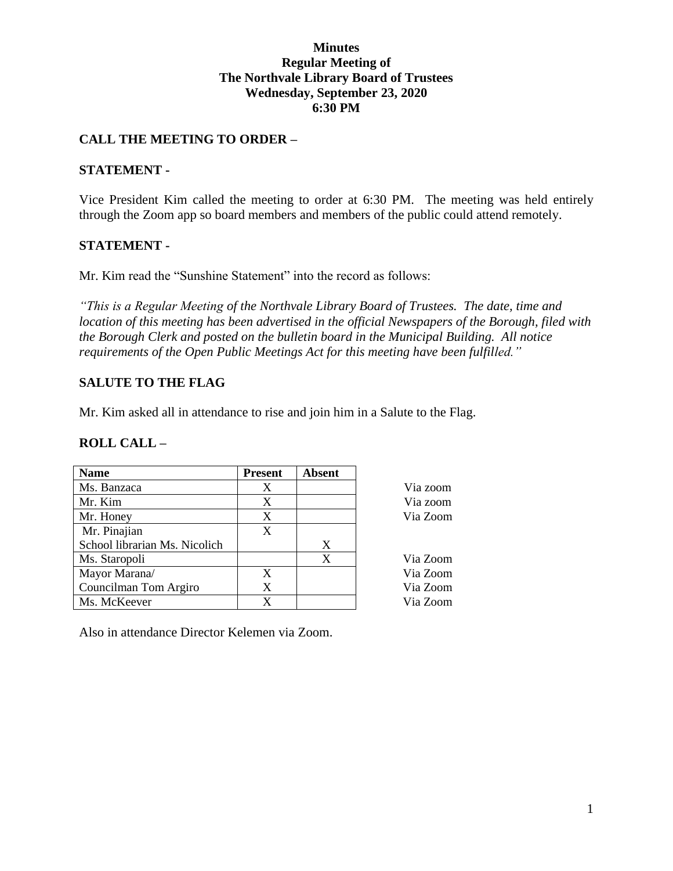#### **Minutes Regular Meeting of The Northvale Library Board of Trustees Wednesday, September 23, 2020 6:30 PM**

### **CALL THE MEETING TO ORDER –**

#### **STATEMENT -**

Vice President Kim called the meeting to order at 6:30 PM. The meeting was held entirely through the Zoom app so board members and members of the public could attend remotely.

#### **STATEMENT -**

Mr. Kim read the "Sunshine Statement" into the record as follows:

*"This is a Regular Meeting of the Northvale Library Board of Trustees. The date, time and location of this meeting has been advertised in the official Newspapers of the Borough, filed with the Borough Clerk and posted on the bulletin board in the Municipal Building. All notice requirements of the Open Public Meetings Act for this meeting have been fulfilled."* 

### **SALUTE TO THE FLAG**

Mr. Kim asked all in attendance to rise and join him in a Salute to the Flag.

#### **ROLL CALL –**

| <b>Name</b>                   | <b>Present</b> | <b>Absent</b> |          |
|-------------------------------|----------------|---------------|----------|
| Ms. Banzaca                   | X              |               | Via zoom |
| Mr. Kim                       | X              |               | Via zoom |
| Mr. Honey                     | X              |               | Via Zoom |
| Mr. Pinajian                  | X              |               |          |
| School librarian Ms. Nicolich |                | X             |          |
| Ms. Staropoli                 |                | X             | Via Zoom |
| Mayor Marana/                 | X              |               | Via Zoom |
| Councilman Tom Argiro         | X              |               | Via Zoom |
| Ms. McKeever                  | X              |               | Via Zoom |

Also in attendance Director Kelemen via Zoom.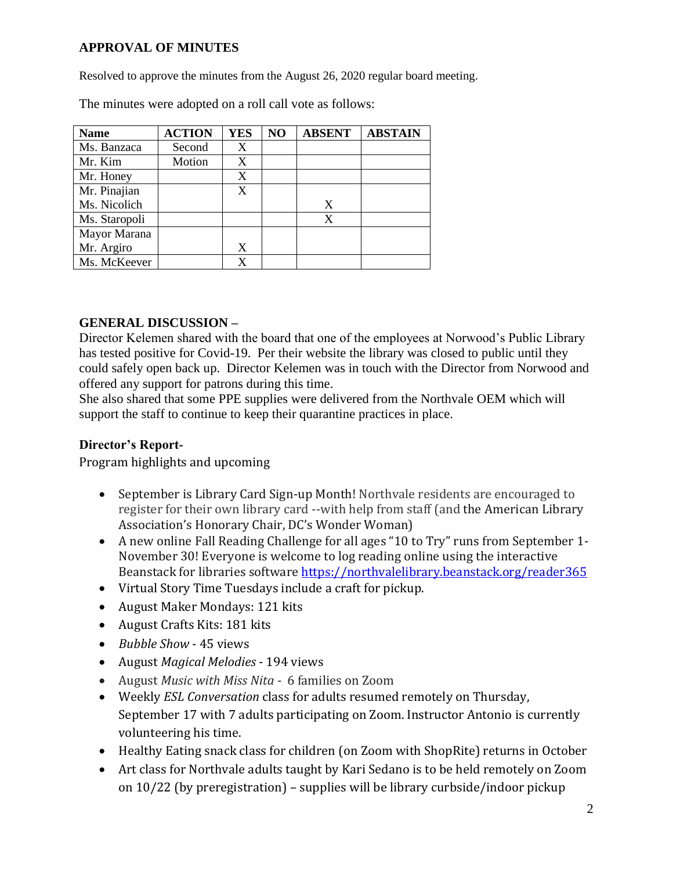# **APPROVAL OF MINUTES**

Resolved to approve the minutes from the August 26, 2020 regular board meeting.

| <b>Name</b>   | <b>ACTION</b> | YES | NO | <b>ABSENT</b> | <b>ABSTAIN</b> |
|---------------|---------------|-----|----|---------------|----------------|
| Ms. Banzaca   | Second        | X   |    |               |                |
| Mr. Kim       | Motion        | X   |    |               |                |
| Mr. Honey     |               | X   |    |               |                |
| Mr. Pinajian  |               | X   |    |               |                |
| Ms. Nicolich  |               |     |    | X             |                |
| Ms. Staropoli |               |     |    | X             |                |
| Mayor Marana  |               |     |    |               |                |
| Mr. Argiro    |               | X   |    |               |                |
| Ms. McKeever  |               | X   |    |               |                |

The minutes were adopted on a roll call vote as follows:

## **GENERAL DISCUSSION –**

Director Kelemen shared with the board that one of the employees at Norwood's Public Library has tested positive for Covid-19. Per their website the library was closed to public until they could safely open back up. Director Kelemen was in touch with the Director from Norwood and offered any support for patrons during this time.

She also shared that some PPE supplies were delivered from the Northvale OEM which will support the staff to continue to keep their quarantine practices in place.

#### **Director's Report-**

Program highlights and upcoming

- September is Library Card Sign-up Month! Northvale residents are encouraged to register for their own library card --with help from staff (and the American Library Association's Honorary Chair, DC's Wonder Woman)
- A new online Fall Reading Challenge for all ages "10 to Try" runs from September 1- November 30! Everyone is welcome to log reading online using the interactive Beanstack for libraries software<https://northvalelibrary.beanstack.org/reader365>
- Virtual Story Time Tuesdays include a craft for pickup.
- August Maker Mondays: 121 kits
- August Crafts Kits: 181 kits
- *Bubble Show* 45 views
- August *Magical Melodies* 194 views
- August *Music with Miss Nita* 6 families on Zoom
- Weekly *ESL Conversation* class for adults resumed remotely on Thursday, September 17 with 7 adults participating on Zoom. Instructor Antonio is currently volunteering his time.
- Healthy Eating snack class for children (on Zoom with ShopRite) returns in October
- Art class for Northvale adults taught by Kari Sedano is to be held remotely on Zoom on 10/22 (by preregistration) – supplies will be library curbside/indoor pickup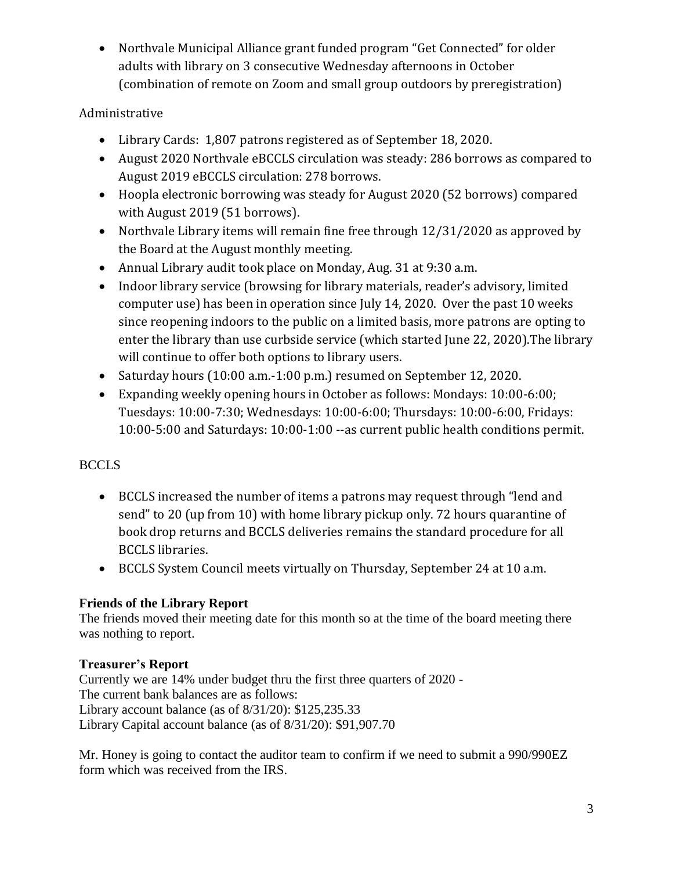Northvale Municipal Alliance grant funded program "Get Connected" for older adults with library on 3 consecutive Wednesday afternoons in October (combination of remote on Zoom and small group outdoors by preregistration)

# Administrative

- Library Cards: 1,807 patrons registered as of September 18, 2020.
- August 2020 Northvale eBCCLS circulation was steady: 286 borrows as compared to August 2019 eBCCLS circulation: 278 borrows.
- Hoopla electronic borrowing was steady for August 2020 (52 borrows) compared with August 2019 (51 borrows).
- Northvale Library items will remain fine free through 12/31/2020 as approved by the Board at the August monthly meeting.
- Annual Library audit took place on Monday, Aug. 31 at 9:30 a.m.
- Indoor library service (browsing for library materials, reader's advisory, limited computer use) has been in operation since July 14, 2020. Over the past 10 weeks since reopening indoors to the public on a limited basis, more patrons are opting to enter the library than use curbside service (which started June 22, 2020).The library will continue to offer both options to library users.
- Saturday hours (10:00 a.m.-1:00 p.m.) resumed on September 12, 2020.
- Expanding weekly opening hours in October as follows: Mondays: 10:00-6:00; Tuesdays: 10:00-7:30; Wednesdays: 10:00-6:00; Thursdays: 10:00-6:00, Fridays: 10:00-5:00 and Saturdays: 10:00-1:00 --as current public health conditions permit.

# BCCLS

- BCCLS increased the number of items a patrons may request through "lend and send" to 20 (up from 10) with home library pickup only. 72 hours quarantine of book drop returns and BCCLS deliveries remains the standard procedure for all BCCLS libraries.
- BCCLS System Council meets virtually on Thursday, September 24 at 10 a.m.

# **Friends of the Library Report**

The friends moved their meeting date for this month so at the time of the board meeting there was nothing to report.

# **Treasurer's Report**

Currently we are 14% under budget thru the first three quarters of 2020 - The current bank balances are as follows: Library account balance (as of 8/31/20): \$125,235.33 Library Capital account balance (as of 8/31/20): \$91,907.70

Mr. Honey is going to contact the auditor team to confirm if we need to submit a 990/990EZ form which was received from the IRS.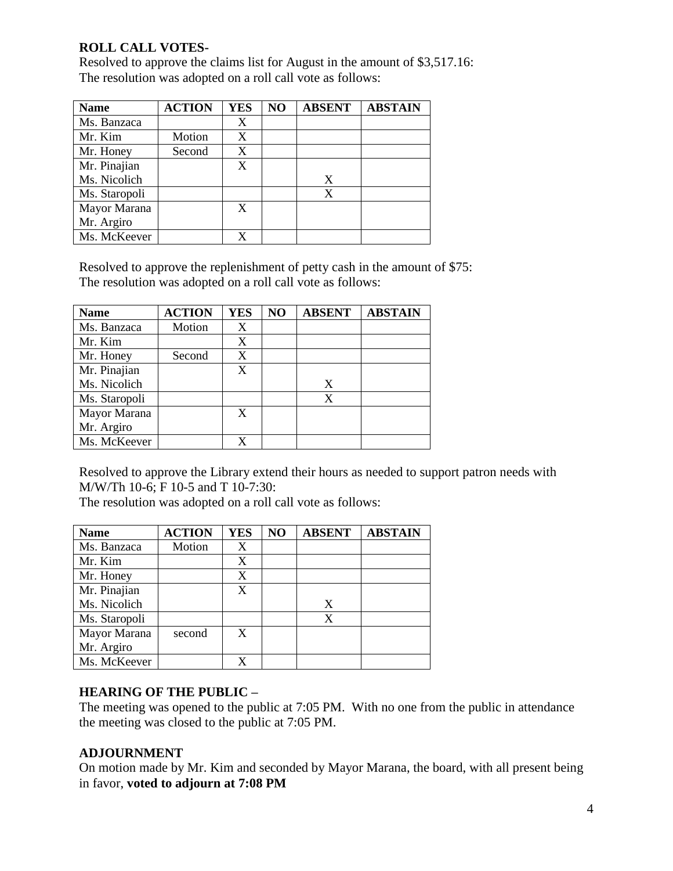# **ROLL CALL VOTES-**

Resolved to approve the claims list for August in the amount of \$3,517.16: The resolution was adopted on a roll call vote as follows:

| <b>Name</b>   | <b>ACTION</b> | <b>YES</b> | NO | <b>ABSENT</b> | <b>ABSTAIN</b> |
|---------------|---------------|------------|----|---------------|----------------|
| Ms. Banzaca   |               | X          |    |               |                |
| Mr. Kim       | Motion        | X          |    |               |                |
| Mr. Honey     | Second        | X          |    |               |                |
| Mr. Pinajian  |               | X          |    |               |                |
| Ms. Nicolich  |               |            |    | X             |                |
| Ms. Staropoli |               |            |    | X             |                |
| Mayor Marana  |               | X          |    |               |                |
| Mr. Argiro    |               |            |    |               |                |
| Ms. McKeever  |               |            |    |               |                |

Resolved to approve the replenishment of petty cash in the amount of \$75: The resolution was adopted on a roll call vote as follows:

| <b>Name</b>   | <b>ACTION</b> | <b>YES</b>       | NO | <b>ABSENT</b> | <b>ABSTAIN</b> |
|---------------|---------------|------------------|----|---------------|----------------|
| Ms. Banzaca   | Motion        |                  |    |               |                |
| Mr. Kim       |               | X                |    |               |                |
| Mr. Honey     | Second        | X                |    |               |                |
| Mr. Pinajian  |               | $\boldsymbol{X}$ |    |               |                |
| Ms. Nicolich  |               |                  |    | X             |                |
| Ms. Staropoli |               |                  |    | X             |                |
| Mayor Marana  |               | X                |    |               |                |
| Mr. Argiro    |               |                  |    |               |                |
| Ms. McKeever  |               | X                |    |               |                |

Resolved to approve the Library extend their hours as needed to support patron needs with M/W/Th 10-6; F 10-5 and T 10-7:30:

The resolution was adopted on a roll call vote as follows:

| <b>Name</b>   | <b>ACTION</b> | <b>YES</b> | NO | <b>ABSENT</b> | <b>ABSTAIN</b> |
|---------------|---------------|------------|----|---------------|----------------|
| Ms. Banzaca   | Motion        | X          |    |               |                |
| Mr. Kim       |               | X          |    |               |                |
| Mr. Honey     |               | X          |    |               |                |
| Mr. Pinajian  |               | X          |    |               |                |
| Ms. Nicolich  |               |            |    | X             |                |
| Ms. Staropoli |               |            |    | X             |                |
| Mayor Marana  | second        | X          |    |               |                |
| Mr. Argiro    |               |            |    |               |                |
| Ms. McKeever  |               | X          |    |               |                |

#### **HEARING OF THE PUBLIC –**

The meeting was opened to the public at 7:05 PM. With no one from the public in attendance the meeting was closed to the public at 7:05 PM.

#### **ADJOURNMENT**

On motion made by Mr. Kim and seconded by Mayor Marana, the board, with all present being in favor, **voted to adjourn at 7:08 PM**